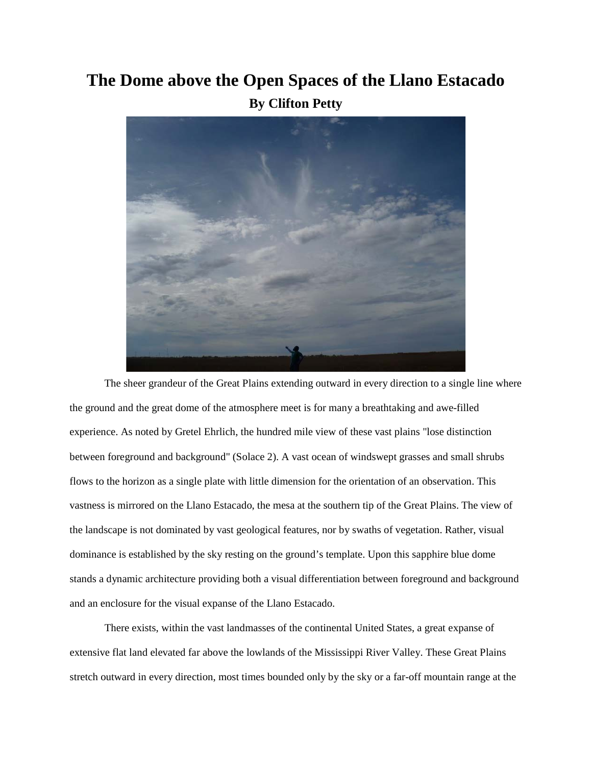## **The Dome above the Open Spaces of the Llano Estacado By Clifton Petty**



The sheer grandeur of the Great Plains extending outward in every direction to a single line where the ground and the great dome of the atmosphere meet is for many a breathtaking and awe-filled experience. As noted by Gretel Ehrlich, the hundred mile view of these vast plains "lose distinction between foreground and background" (Solace 2). A vast ocean of windswept grasses and small shrubs flows to the horizon as a single plate with little dimension for the orientation of an observation. This vastness is mirrored on the Llano Estacado, the mesa at the southern tip of the Great Plains. The view of the landscape is not dominated by vast geological features, nor by swaths of vegetation. Rather, visual dominance is established by the sky resting on the ground's template. Upon this sapphire blue dome stands a dynamic architecture providing both a visual differentiation between foreground and background and an enclosure for the visual expanse of the Llano Estacado.

There exists, within the vast landmasses of the continental United States, a great expanse of extensive flat land elevated far above the lowlands of the Mississippi River Valley. These Great Plains stretch outward in every direction, most times bounded only by the sky or a far-off mountain range at the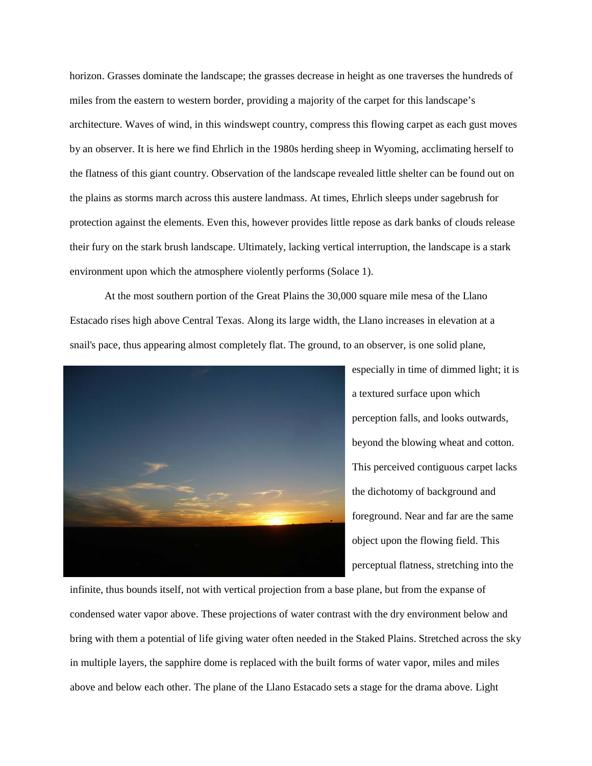horizon. Grasses dominate the landscape; the grasses decrease in height as one traverses the hundreds of miles from the eastern to western border, providing a majority of the carpet for this landscape's architecture. Waves of wind, in this windswept country, compress this flowing carpet as each gust moves by an observer. It is here we find Ehrlich in the 1980s herding sheep in Wyoming, acclimating herself to the flatness of this giant country. Observation of the landscape revealed little shelter can be found out on the plains as storms march across this austere landmass. At times, Ehrlich sleeps under sagebrush for protection against the elements. Even this, however provides little repose as dark banks of clouds release their fury on the stark brush landscape. Ultimately, lacking vertical interruption, the landscape is a stark environment upon which the atmosphere violently performs (Solace 1).

At the most southern portion of the Great Plains the 30,000 square mile mesa of the Llano Estacado rises high above Central Texas. Along its large width, the Llano increases in elevation at a snail's pace, thus appearing almost completely flat. The ground, to an observer, is one solid plane,



especially in time of dimmed light; it is a textured surface upon which perception falls, and looks outwards, beyond the blowing wheat and cotton. This perceived contiguous carpet lacks the dichotomy of background and foreground. Near and far are the same object upon the flowing field. This perceptual flatness, stretching into the

infinite, thus bounds itself, not with vertical projection from a base plane, but from the expanse of condensed water vapor above. These projections of water contrast with the dry environment below and bring with them a potential of life giving water often needed in the Staked Plains. Stretched across the sky in multiple layers, the sapphire dome is replaced with the built forms of water vapor, miles and miles above and below each other. The plane of the Llano Estacado sets a stage for the drama above. Light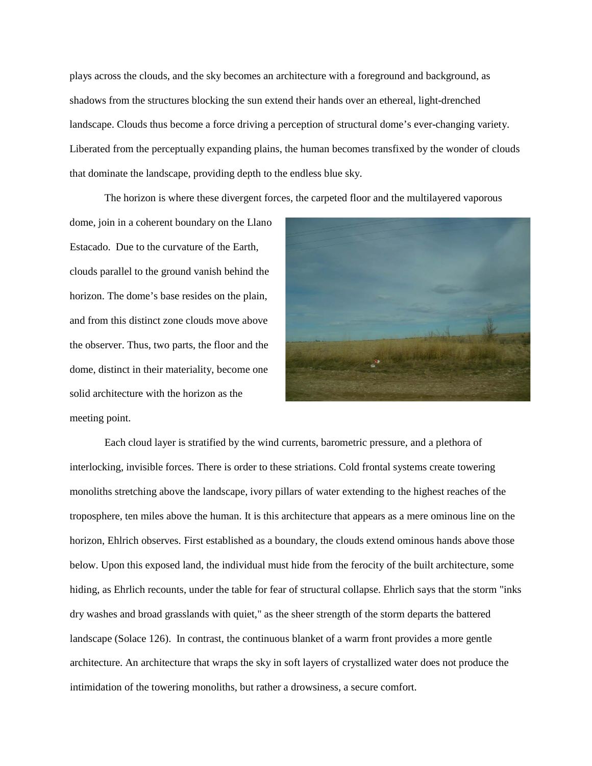plays across the clouds, and the sky becomes an architecture with a foreground and background, as shadows from the structures blocking the sun extend their hands over an ethereal, light-drenched landscape. Clouds thus become a force driving a perception of structural dome's ever-changing variety. Liberated from the perceptually expanding plains, the human becomes transfixed by the wonder of clouds that dominate the landscape, providing depth to the endless blue sky.

The horizon is where these divergent forces, the carpeted floor and the multilayered vaporous

dome, join in a coherent boundary on the Llano Estacado. Due to the curvature of the Earth, clouds parallel to the ground vanish behind the horizon. The dome's base resides on the plain, and from this distinct zone clouds move above the observer. Thus, two parts, the floor and the dome, distinct in their materiality, become one solid architecture with the horizon as the meeting point.



Each cloud layer is stratified by the wind currents, barometric pressure, and a plethora of interlocking, invisible forces. There is order to these striations. Cold frontal systems create towering monoliths stretching above the landscape, ivory pillars of water extending to the highest reaches of the troposphere, ten miles above the human. It is this architecture that appears as a mere ominous line on the horizon, Ehlrich observes. First established as a boundary, the clouds extend ominous hands above those below. Upon this exposed land, the individual must hide from the ferocity of the built architecture, some hiding, as Ehrlich recounts, under the table for fear of structural collapse. Ehrlich says that the storm "inks dry washes and broad grasslands with quiet," as the sheer strength of the storm departs the battered landscape (Solace 126). In contrast, the continuous blanket of a warm front provides a more gentle architecture. An architecture that wraps the sky in soft layers of crystallized water does not produce the intimidation of the towering monoliths, but rather a drowsiness, a secure comfort.